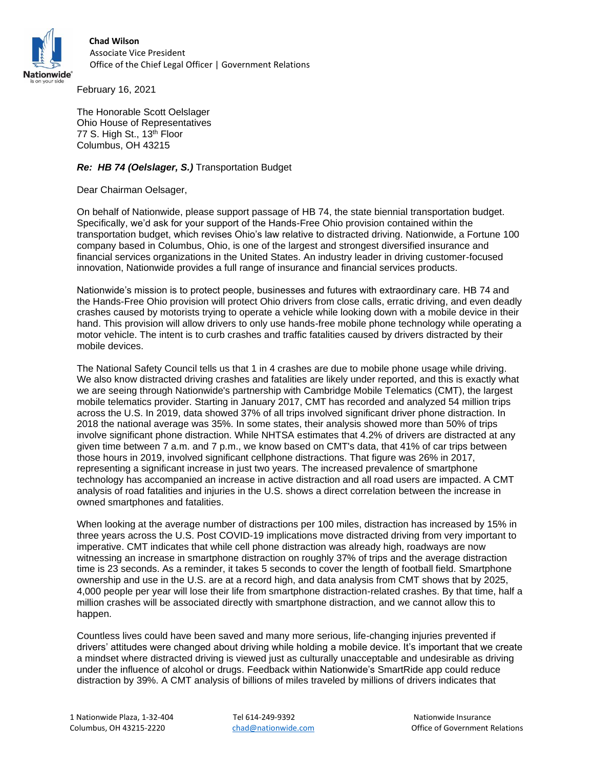

 **Chad Wilson** Associate Vice President Office of the Chief Legal Officer | Government Relations<br>Nationwide®

February 16, 2021

The Honorable Scott Oelslager Ohio House of Representatives 77 S. High St., 13<sup>th</sup> Floor Columbus, OH 43215

## *Re: HB 74 (Oelslager, S.)* Transportation Budget

Dear Chairman Oelsager,

On behalf of Nationwide, please support passage of HB 74, the state biennial transportation budget. Specifically, we'd ask for your support of the Hands-Free Ohio provision contained within the transportation budget, which revises Ohio's law relative to distracted driving. Nationwide, a Fortune 100 company based in Columbus, Ohio, is one of the largest and strongest diversified insurance and financial services organizations in the United States. An industry leader in driving customer-focused innovation, Nationwide provides a full range of insurance and financial services products.

Nationwide's mission is to protect people, businesses and futures with extraordinary care. HB 74 and the Hands-Free Ohio provision will protect Ohio drivers from close calls, erratic driving, and even deadly crashes caused by motorists trying to operate a vehicle while looking down with a mobile device in their hand. This provision will allow drivers to only use hands-free mobile phone technology while operating a motor vehicle. The intent is to curb crashes and traffic fatalities caused by drivers distracted by their mobile devices.

The National Safety Council tells us that 1 in 4 crashes are due to mobile phone usage while driving. We also know distracted driving crashes and fatalities are likely under reported, and this is exactly what we are seeing through Nationwide's partnership with Cambridge Mobile Telematics (CMT), the largest mobile telematics provider. Starting in January 2017, CMT has recorded and analyzed 54 million trips across the U.S. In 2019, data showed 37% of all trips involved significant driver phone distraction. In 2018 the national average was 35%. In some states, their analysis showed more than 50% of trips involve significant phone distraction. While NHTSA estimates that 4.2% of drivers are distracted at any given time between 7 a.m. and 7 p.m., we know based on CMT's data, that 41% of car trips between those hours in 2019, involved significant cellphone distractions. That figure was 26% in 2017, representing a significant increase in just two years. The increased prevalence of smartphone technology has accompanied an increase in active distraction and all road users are impacted. A CMT analysis of road fatalities and injuries in the U.S. shows a direct correlation between the increase in owned smartphones and fatalities.

When looking at the average number of distractions per 100 miles, distraction has increased by 15% in three years across the U.S. Post COVID-19 implications move distracted driving from very important to imperative. CMT indicates that while cell phone distraction was already high, roadways are now witnessing an increase in smartphone distraction on roughly 37% of trips and the average distraction time is 23 seconds. As a reminder, it takes 5 seconds to cover the length of football field. Smartphone ownership and use in the U.S. are at a record high, and data analysis from CMT shows that by 2025, 4,000 people per year will lose their life from smartphone distraction-related crashes. By that time, half a million crashes will be associated directly with smartphone distraction, and we cannot allow this to happen.

Countless lives could have been saved and many more serious, life-changing injuries prevented if drivers' attitudes were changed about driving while holding a mobile device. It's important that we create a mindset where distracted driving is viewed just as culturally unacceptable and undesirable as driving under the influence of alcohol or drugs. Feedback within Nationwide's SmartRide app could reduce distraction by 39%. A CMT analysis of billions of miles traveled by millions of drivers indicates that